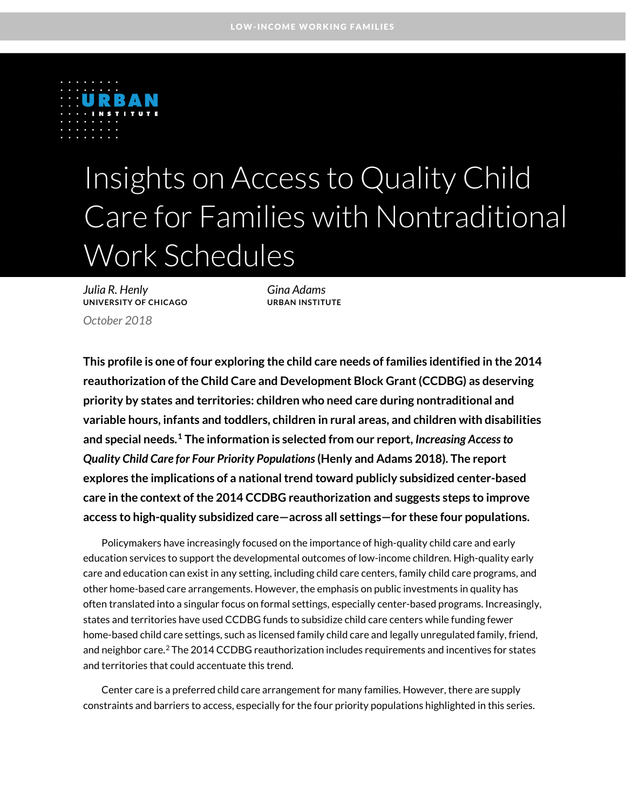

# Insights on Access to Quality Child Care for Families with Nontraditional Work Schedules

*Julia R. Henly Gina Adams* **UNIVERSITY OF CHICAGO URBAN INSTITUTE** *October 2018*

**This profile is one of four exploring the child care needs of families identified in the 2014 reauthorization of the Child Care and Development Block Grant (CCDBG) as deserving priority by states and territories: children who need care during nontraditional and variable hours, infants and toddlers, children in rural areas, and children with disabilities and special needs. [1](#page-6-0) The information is selected from our report,** *Increasing Access to Quality Child Care for Four Priority Populations***(Henly and Adams 2018). The report explores the implications of a national trend toward publicly subsidized center-based care in the context of the 2014 CCDBG reauthorization and suggests steps to improve access to high-quality subsidized care—across all settings—for these four populations.** 

Policymakers have increasingly focused on the importance of high-quality child care and early education services to support the developmental outcomes of low-income children. High-quality early care and education can exist in any setting, including child care centers, family child care programs, and other home-based care arrangements. However, the emphasis on public investments in quality has often translated into a singular focus on formal settings, especially center-based programs. Increasingly, states and territories have used CCDBG funds to subsidize child care centers while funding fewer home-based child care settings, such as licensed family child care and legally unregulated family, friend, and neighbor care. [2](#page-6-1) The 2014 CCDBG reauthorization includes requirements and incentives for states and territories that could accentuate this trend.

Center care is a preferred child care arrangement for many families. However, there are supply constraints and barriers to access, especially for the four priority populations highlighted in this series.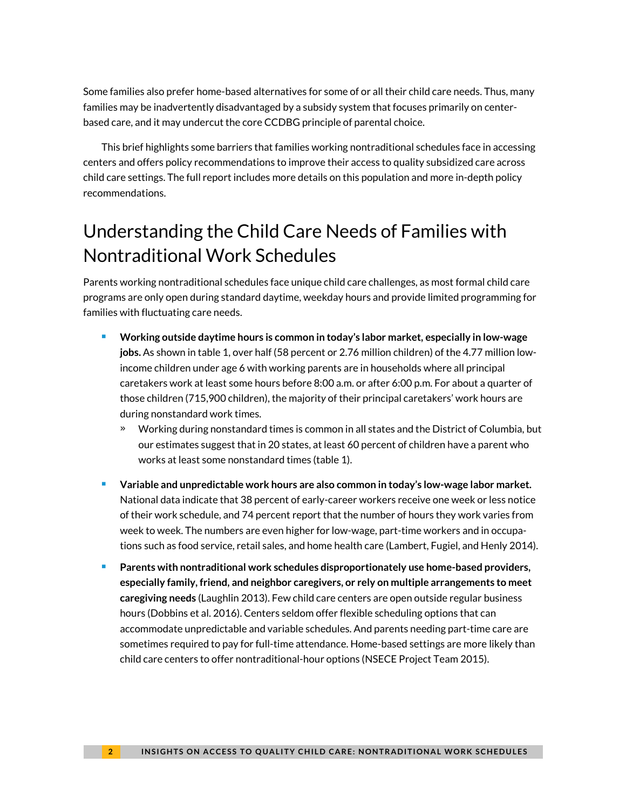Some families also prefer home-based alternatives for some of or all their child care needs. Thus, many families may be inadvertently disadvantaged by a subsidy system that focuses primarily on centerbased care, and it may undercut the core CCDBG principle of parental choice.

This brief highlights some barriers that families working nontraditional schedules face in accessing centers and offers policy recommendations to improve their access to quality subsidized care across child care settings. The full report includes more details on this population and more in-depth policy recommendations.

## Understanding the Child Care Needs of Families with Nontraditional Work Schedules

Parents working nontraditional schedules face unique child care challenges, as most formal child care programs are only open during standard daytime, weekday hours and provide limited programming for families with fluctuating care needs.

- **Working outside daytime hours is common in today's labor market, especially in low-wage jobs.** As shown in table 1, over half (58 percent or 2.76 million children) of the 4.77 million lowincome children under age 6 with working parents are in households where all principal caretakers work at least some hours before 8:00 a.m. or after 6:00 p.m. For about a quarter of those children (715,900 children), the majorit*y* of their principal caretakers' work hours are during nonstandard work times.
	- » Working during nonstandard times is common in all states and the District of Columbia, but our estimates suggest that in 20 states, at least 60 percent of children have a parent who works at least some nonstandard times (table 1).
- **Variable and unpredictable work hours are also common in today's low-wage labor market.** National data indicate that 38 percent of early-career workers receive one week or less notice of their work schedule, and 74 percent report that the number of hours they work varies from week to week. The numbers are even higher for low-wage, part-time workers and in occupations such as food service, retail sales, and home health care (Lambert, Fugiel, and Henly 2014).
- **Parents with nontraditional work schedules disproportionately use home-based providers, especially family, friend, and neighbor caregivers, or rely on multiple arrangements to meet caregiving needs** (Laughlin 2013). Few child care centers are open outside regular business hours (Dobbins et al. 2016). Centers seldom offer flexible scheduling options that can accommodate unpredictable and variable schedules. And parents needing part-time care are sometimes required to pay for full-time attendance. Home-based settings are more likely than child care centers to offer nontraditional-hour options (NSECE Project Team 2015).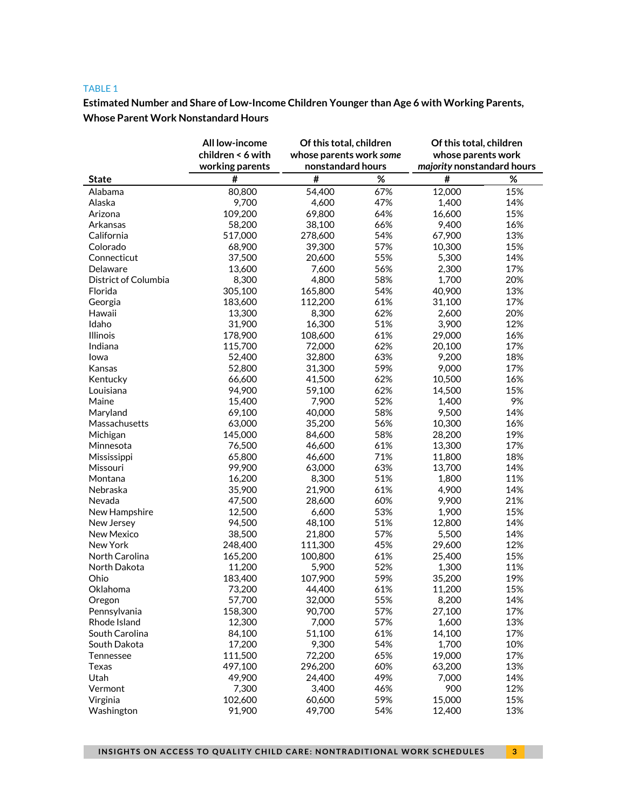#### TABLE 1

**Estimated Number and Share of Low-Income Children Younger than Age 6 with Working Parents, Whose Parent Work Nonstandard Hours**

|                      | All low-income    | Of this total, children<br>whose parents work some<br>nonstandard hours |      | Of this total, children<br>whose parents work<br>majority nonstandard hours |            |
|----------------------|-------------------|-------------------------------------------------------------------------|------|-----------------------------------------------------------------------------|------------|
|                      | children < 6 with |                                                                         |      |                                                                             |            |
|                      | working parents   |                                                                         |      |                                                                             |            |
| <b>State</b>         | #                 | #                                                                       | $\%$ | #                                                                           | %          |
| Alabama              | 80,800            | 54,400                                                                  | 67%  | 12,000                                                                      | 15%        |
| Alaska               | 9,700             | 4,600                                                                   | 47%  | 1,400                                                                       | 14%        |
| Arizona              | 109,200           | 69,800                                                                  | 64%  | 16,600                                                                      | 15%        |
| Arkansas             | 58,200            | 38,100                                                                  | 66%  | 9,400                                                                       | 16%        |
| California           | 517,000           | 278,600                                                                 | 54%  | 67,900                                                                      | 13%        |
| Colorado             | 68,900            | 39,300                                                                  | 57%  | 10,300                                                                      | 15%        |
| Connecticut          | 37,500            | 20,600                                                                  | 55%  | 5,300                                                                       | 14%        |
| Delaware             | 13,600            | 7,600                                                                   | 56%  | 2,300                                                                       | 17%        |
| District of Columbia | 8,300             | 4,800                                                                   | 58%  | 1,700                                                                       | 20%        |
| Florida              | 305,100           | 165,800                                                                 | 54%  | 40,900                                                                      | 13%        |
| Georgia              | 183,600           | 112,200                                                                 | 61%  | 31,100                                                                      | 17%        |
| Hawaii               | 13,300            | 8,300                                                                   | 62%  | 2,600                                                                       | 20%        |
| Idaho                | 31,900            | 16,300                                                                  | 51%  | 3,900                                                                       | 12%        |
| Illinois             | 178,900           | 108,600                                                                 | 61%  | 29,000                                                                      | 16%        |
| Indiana              | 115,700           | 72,000                                                                  | 62%  | 20,100                                                                      | 17%        |
| lowa                 | 52,400            | 32,800                                                                  | 63%  | 9,200                                                                       | 18%        |
| Kansas               | 52,800            | 31,300                                                                  | 59%  | 9,000                                                                       | 17%        |
| Kentucky             | 66,600            | 41,500                                                                  | 62%  | 10,500                                                                      | 16%        |
| Louisiana            | 94,900            | 59,100                                                                  | 62%  | 14,500                                                                      | 15%        |
| Maine                | 15,400            | 7,900                                                                   | 52%  | 1,400                                                                       | 9%         |
| Maryland             | 69,100            | 40,000                                                                  | 58%  | 9,500                                                                       | 14%        |
| Massachusetts        | 63,000            | 35,200                                                                  | 56%  | 10,300                                                                      | 16%        |
| Michigan             | 145,000           | 84,600                                                                  | 58%  | 28,200                                                                      | 19%        |
| Minnesota            | 76,500            | 46,600                                                                  | 61%  | 13,300                                                                      | 17%        |
| Mississippi          | 65,800            | 46,600                                                                  | 71%  | 11,800                                                                      | 18%        |
| Missouri             | 99,900            | 63,000                                                                  | 63%  | 13,700                                                                      | 14%        |
| Montana              | 16,200            | 8,300                                                                   | 51%  | 1,800                                                                       | 11%        |
|                      | 35,900            | 21,900                                                                  | 61%  | 4,900                                                                       | 14%        |
| Nebraska             |                   |                                                                         | 60%  | 9,900                                                                       | 21%        |
| Nevada               | 47,500            | 28,600                                                                  |      |                                                                             | 15%        |
| New Hampshire        | 12,500            | 6,600                                                                   | 53%  | 1,900                                                                       |            |
| New Jersey           | 94,500            | 48,100                                                                  | 51%  | 12,800                                                                      | 14%<br>14% |
| New Mexico           | 38,500            | 21,800                                                                  | 57%  | 5,500                                                                       |            |
| New York             | 248,400           | 111,300                                                                 | 45%  | 29,600                                                                      | 12%        |
| North Carolina       | 165,200           | 100,800                                                                 | 61%  | 25,400                                                                      | 15%        |
| North Dakota         | 11,200            | 5,900                                                                   | 52%  | 1,300                                                                       | 11%        |
| Ohio                 | 183,400           | 107,900                                                                 | 59%  | 35,200                                                                      | 19%        |
| Oklahoma             | 73,200            | 44,400                                                                  | 61%  | 11,200                                                                      | 15%        |
| Oregon               | 57,700            | 32,000                                                                  | 55%  | 8,200                                                                       | 14%        |
| Pennsylvania         | 158,300           | 90,700                                                                  | 57%  | 27,100                                                                      | 17%        |
| Rhode Island         | 12,300            | 7,000                                                                   | 57%  | 1,600                                                                       | 13%        |
| South Carolina       | 84,100            | 51,100                                                                  | 61%  | 14,100                                                                      | 17%        |
| South Dakota         | 17,200            | 9,300                                                                   | 54%  | 1,700                                                                       | 10%        |
| Tennessee            | 111,500           | 72,200                                                                  | 65%  | 19,000                                                                      | 17%        |
| Texas                | 497,100           | 296,200                                                                 | 60%  | 63,200                                                                      | 13%        |
| Utah                 | 49,900            | 24,400                                                                  | 49%  | 7,000                                                                       | 14%        |
| Vermont              | 7,300             | 3,400                                                                   | 46%  | 900                                                                         | 12%        |
| Virginia             | 102,600           | 60,600                                                                  | 59%  | 15,000                                                                      | 15%        |
| Washington           | 91,900            | 49,700                                                                  | 54%  | 12,400                                                                      | 13%        |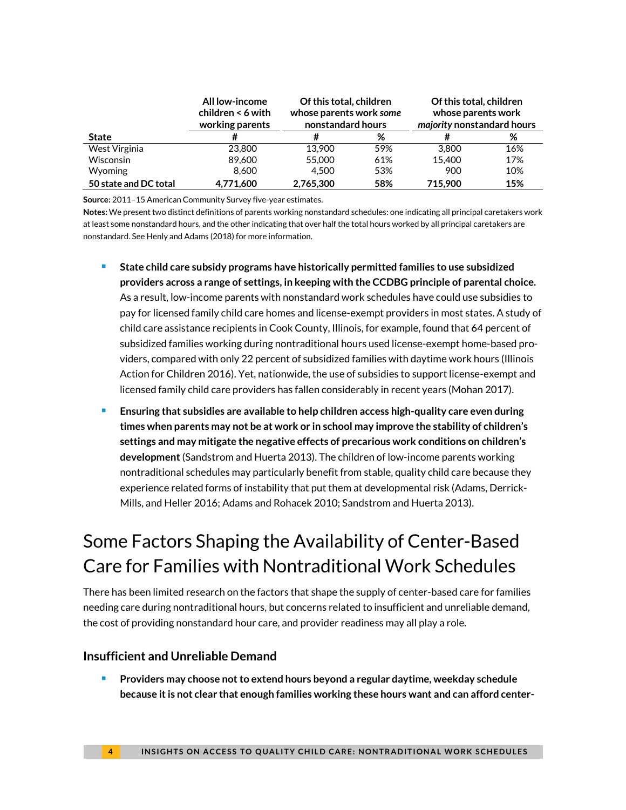|                       | All low-income<br>children $\leq 6$ with<br>working parents | Of this total, children<br>whose parents work some<br>nonstandard hours |     | Of this total, children<br>whose parents work<br>majority nonstandard hours |     |
|-----------------------|-------------------------------------------------------------|-------------------------------------------------------------------------|-----|-----------------------------------------------------------------------------|-----|
| <b>State</b>          | #                                                           | #                                                                       | %   |                                                                             | %   |
| West Virginia         | 23,800                                                      | 13.900                                                                  | 59% | 3.800                                                                       | 16% |
| <b>Wisconsin</b>      | 89.600                                                      | 55,000                                                                  | 61% | 15.400                                                                      | 17% |
| <b>Wyoming</b>        | 8.600                                                       | 4.500                                                                   | 53% | 900                                                                         | 10% |
| 50 state and DC total | 4.771.600                                                   | 2.765.300                                                               | 58% | 715.900                                                                     | 15% |

**Source:** 2011–15 American Community Survey five-year estimates.

**Notes:** We present two distinct definitions of parents working nonstandard schedules: one indicating all principal caretakers work at least some nonstandard hours, and the other indicating that over half the total hours worked by all principal caretakers are nonstandard. See Henly and Adams (2018) for more information.

- **State child care subsidy programs have historically permitted families to use subsidized providers across a range of settings, in keeping with the CCDBG principle of parental choice.** As a result, low-income parents with nonstandard work schedules have could use subsidies to pay for licensed family child care homes and license-exempt providers in most states. A study of child care assistance recipients in Cook County, Illinois, for example, found that 64 percent of subsidized families working during nontraditional hours used license-exempt home-based providers, compared with only 22 percent of subsidized families with daytime work hours (Illinois Action for Children 2016). Yet, nationwide, the use of subsidies to support license-exempt and licensed family child care providers has fallen considerably in recent years (Mohan 2017).
- **Ensuring that subsidies are available to help children access high-quality care even during times when parents may not be at work or in school may improve the stability of children's settings and may mitigate the negative effects of precarious work conditions on children's development** (Sandstrom and Huerta 2013). The children of low-income parents working nontraditional schedules may particularly benefit from stable, quality child care because they experience related forms of instability that put them at developmental risk (Adams, Derrick-Mills, and Heller 2016; Adams and Rohacek 2010; Sandstrom and Huerta 2013).

# Some Factors Shaping the Availability of Center-Based Care for Families with Nontraditional Work Schedules

There has been limited research on the factors that shape the supply of center-based care for families needing care during nontraditional hours, but concerns related to insufficient and unreliable demand, the cost of providing nonstandard hour care, and provider readiness may all play a role.

#### **Insufficient and Unreliable Demand**

**Providers may choose not to extend hours beyond a regular daytime, weekday schedule because it is not clear that enough families working these hours want and can afford center-**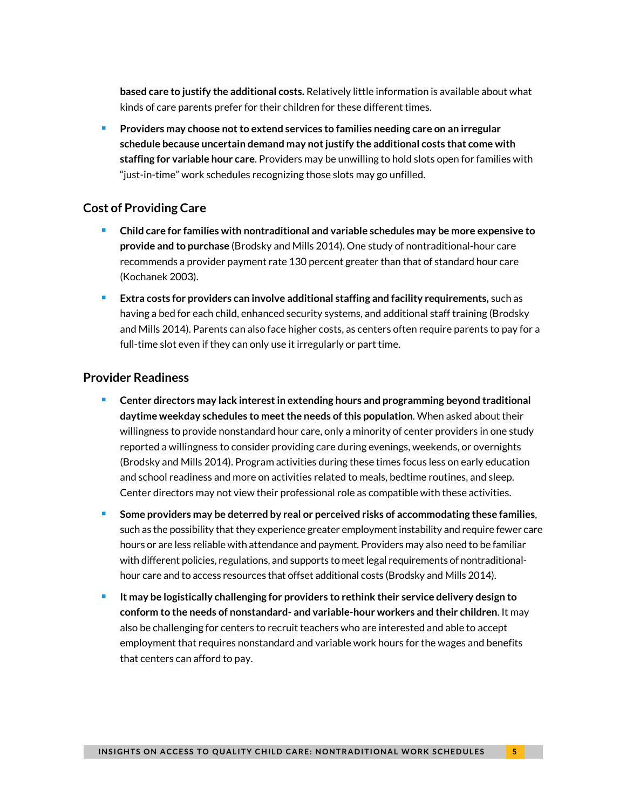**based care to justify the additional costs.** Relatively little information is available about what kinds of care parents prefer for their children for these different times.

 **Providers may choose not to extend services to families needing care on an irregular schedule because uncertain demand may not justify the additional costs that come with staffing for variable hour care**. Providers may be unwilling to hold slots open for families with "just-in-time" work schedules recognizing those slots may go unfilled.

### **Cost of Providing Care**

- **Child care for families with nontraditional and variable schedules may be more expensive to provide and to purchase** (Brodsky and Mills 2014). One study of nontraditional-hour care recommends a provider payment rate 130 percent greater than that of standard hour care (Kochanek 2003).
- **Extra costs for providers can involve additional staffing and facility requirements, such as** having a bed for each child, enhanced security systems, and additional staff training (Brodsky and Mills 2014). Parents can also face higher costs, as centers often require parents to pay for a full-time slot even if they can only use it irregularly or part time.

#### **Provider Readiness**

- **Center directors may lack interest in extending hours and programming beyond traditional daytime weekday schedules to meet the needs of this population**. When asked about their willingness to provide nonstandard hour care, only a minority of center providers in one study reported a willingness to consider providing care during evenings, weekends, or overnights (Brodsky and Mills 2014). Program activities during these times focus less on early education and school readiness and more on activities related to meals, bedtime routines, and sleep. Center directors may not view their professional role as compatible with these activities.
- **Some providers may be deterred by real or perceived risks of accommodating these families**, such as the possibility that they experience greater employment instability and require fewer care hours or are less reliable with attendance and payment. Providers may also need to be familiar with different policies, regulations, and supports to meet legal requirements of nontraditionalhour care and to access resources that offset additional costs (Brodsky and Mills 2014).
- **It may be logistically challenging for providers to rethink their service delivery design to conform to the needs of nonstandard- and variable-hour workers and their children**. It may also be challenging for centers to recruit teachers who are interested and able to accept employment that requires nonstandard and variable work hours for the wages and benefits that centers can afford to pay.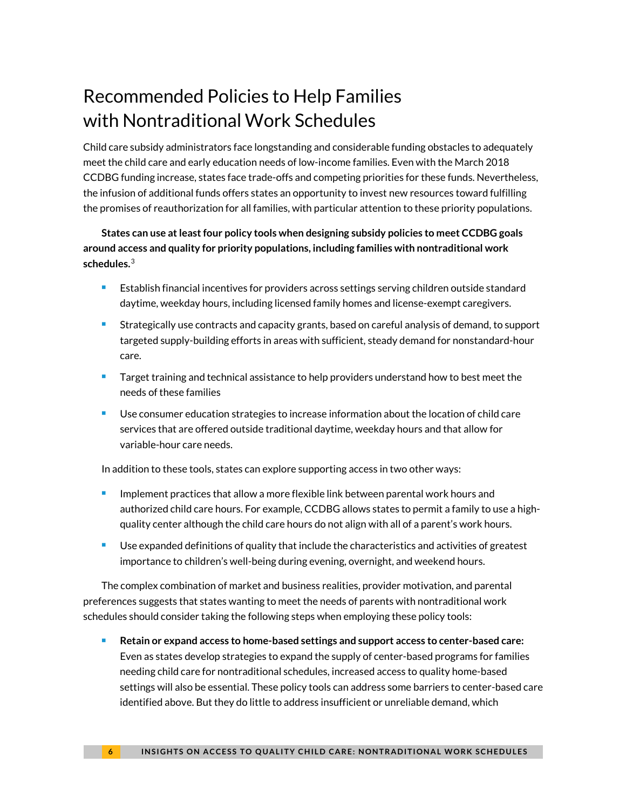# Recommended Policies to Help Families with Nontraditional Work Schedules

Child care subsidy administrators face longstanding and considerable funding obstacles to adequately meet the child care and early education needs of low-income families. Even with the March 2018 CCDBG funding increase, states face trade-offs and competing priorities for these funds. Nevertheless, the infusion of additional funds offers states an opportunity to invest new resources toward fulfilling the promises of reauthorization for all families, with particular attention to these priority populations.

**States can use at least four policy tools when designing subsidy policies to meet CCDBG goals around access and quality for priority populations, including families with nontraditional work schedules.**[3](#page-6-2)

- **Establish financial incentives for providers across settings serving children outside standard** daytime, weekday hours, including licensed family homes and license-exempt caregivers.
- **Strategically use contracts and capacity grants, based on careful analysis of demand, to support** targeted supply-building efforts in areas with sufficient, steady demand for nonstandard-hour care.
- Target training and technical assistance to help providers understand how to best meet the needs of these families
- Use consumer education strategies to increase information about the location of child care services that are offered outside traditional daytime, weekday hours and that allow for variable-hour care needs.

In addition to these tools, states can explore supporting access in two other ways:

- $\blacksquare$  Implement practices that allow a more flexible link between parental work hours and authorized child care hours. For example, CCDBG allows states to permit a family to use a highquality center although the child care hours do not align with all of a parent's work hours.
- **Use expanded definitions of quality that include the characteristics and activities of greatest** importance to children's well-being during evening, overnight, and weekend hours.

The complex combination of market and business realities, provider motivation, and parental preferences suggests that states wanting to meet the needs of parents with nontraditional work schedules should consider taking the following steps when employing these policy tools:

**Retain or expand access to home-based settings and support access to center-based care:** Even as states develop strategies to expand the supply of center-based programs for families needing child care for nontraditional schedules, increased access to quality home-based settings will also be essential. These policy tools can address some barriers to center-based care identified above. But they do little to address insufficient or unreliable demand, which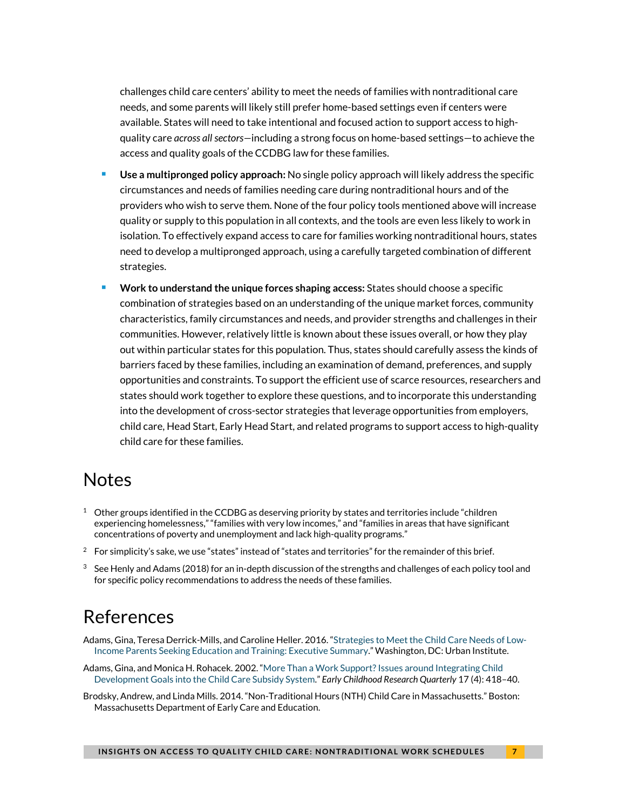challenges child care centers' ability to meet the needs of families with nontraditional care needs, and some parents will likely still prefer home-based settings even if centers were available. States will need to take intentional and focused action to support access to highquality care *across all sectors—*including a strong focus on home-based settings—to achieve the access and quality goals of the CCDBG law for these families.

- **Use a multipronged policy approach:** No single policy approach will likely address the specific circumstances and needs of families needing care during nontraditional hours and of the providers who wish to serve them. None of the four policy tools mentioned above will increase quality or supply to this population in all contexts, and the tools are even less likely to work in isolation. To effectively expand access to care for families working nontraditional hours, states need to develop a multipronged approach, using a carefully targeted combination of different strategies.
- **Work to understand the unique forces shaping access:** States should choose a specific combination of strategies based on an understanding of the unique market forces, community characteristics, family circumstances and needs, and provider strengths and challenges in their communities. However, relatively little is known about these issues overall, or how they play out within particular states for this population. Thus, states should carefully assess the kinds of barriers faced by these families, including an examination of demand, preferences, and supply opportunities and constraints. To support the efficient use of scarce resources, researchers and states should work together to explore these questions, and to incorporate this understanding into the development of cross-sector strategies that leverage opportunities from employers, child care, Head Start, Early Head Start, and related programs to support access to high-quality child care for these families.

### **Notes**

- <span id="page-6-0"></span> $1$  Other groups identified in the CCDBG as deserving priority by states and territories include "children experiencing homelessness," "families with very low incomes," and "families in areas that have significant concentrations of poverty and unemployment and lack high-quality programs."
- <span id="page-6-1"></span> $2$  For simplicity's sake, we use "states" instead of "states and territories" for the remainder of this brief.
- <span id="page-6-2"></span> $3$  See Henly and Adams (2018) for an in-depth discussion of the strengths and challenges of each policy tool and for specific policy recommendations to address the needs of these families.

### References

- Adams, Gina, Teresa Derrick-Mills, and Caroline Heller. 2016. ["Strategies to Meet the Child Care Needs of Low-](https://www.urban.org/research/publication/strategies-meet-child-care-needs-low-income-parents-seeking-education-and-training-executive-summary)[Income Parents Seeking Education and Training: Executive Summary.](https://www.urban.org/research/publication/strategies-meet-child-care-needs-low-income-parents-seeking-education-and-training-executive-summary)" Washington, DC: Urban Institute.
- Adams, Gina, and Monica H. Rohacek. 2002. ["More Than a Work Support? Issues around Integrating Child](https://www.urban.org/research/publication/more-work-support-issues-around-integrating-child-development-goals-child-care-subsidy-system)  [Development Goals into the Child Care Subsidy System."](https://www.urban.org/research/publication/more-work-support-issues-around-integrating-child-development-goals-child-care-subsidy-system) *Early Childhood Research Quarterly* 17 (4): 418–40.
- Brodsky, Andrew, and Linda Mills. 2014. "Non-Traditional Hours (NTH) Child Care in Massachusetts." Boston: Massachusetts Department of Early Care and Education.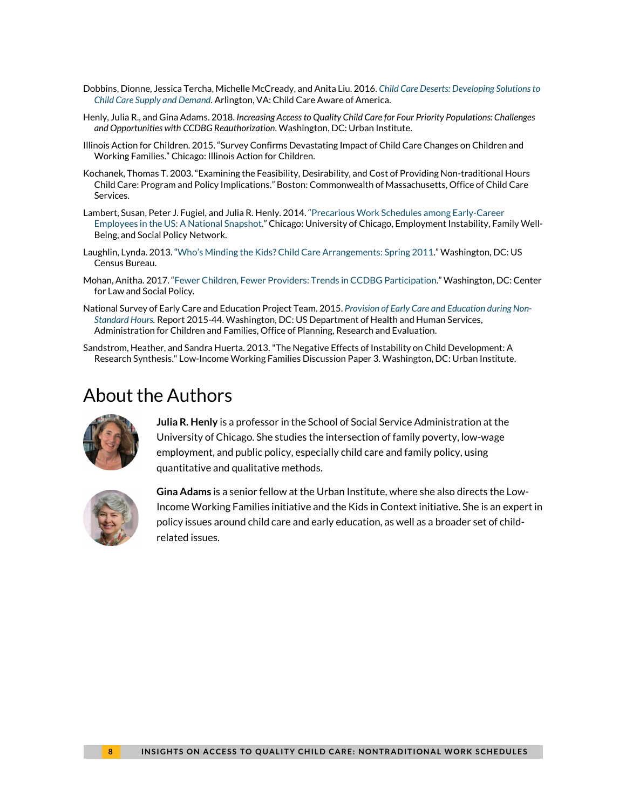- Dobbins, Dionne, Jessica Tercha, Michelle McCready, and Anita Liu. 2016. *[Child Care Deserts: Developing Solutions to](http://usa.childcareaware.org/wp-content/uploads/2016/09/Child-Care-Deserts-report-FINAL2.pdf)  [Child Care Supply and Demand](http://usa.childcareaware.org/wp-content/uploads/2016/09/Child-Care-Deserts-report-FINAL2.pdf)*. Arlington, VA: Child Care Aware of America.
- Henly, Julia R., and Gina Adams. 2018. *Increasing Access to Quality Child Care for Four Priority Populations: Challenges and Opportunities with CCDBG Reauthorization*. Washington, DC: Urban Institute.
- Illinois Action for Children. 2015. "Survey Confirms Devastating Impact of Child Care Changes on Children and Working Families." Chicago: Illinois Action for Children.
- Kochanek, Thomas T. 2003. "Examining the Feasibility, Desirability, and Cost of Providing Non-traditional Hours Child Care: Program and Policy Implications." Boston: Commonwealth of Massachusetts, Office of Child Care Services.
- Lambert, Susan, Peter J. Fugiel, and Julia R. Henly. 2014. ["Precarious Work Schedules](https://ssa.uchicago.edu/sites/default/files/uploads/lambert.fugiel.henly_.precarious_work_schedules.august2014_0.pdf) among Early-Career [Employees in the US: A National Snapshot.](https://ssa.uchicago.edu/sites/default/files/uploads/lambert.fugiel.henly_.precarious_work_schedules.august2014_0.pdf)" Chicago: University of Chicago, Employment Instability, Family Well-Being, and Social Policy Network.
- Laughlin, Lynda. 2013. ["Who's Minding the Kids? Child Care Arrangements: Spring 2011.](https://www.census.gov/prod/2013pubs/p70-135.pdf)" Washington, DC: US Census Bureau.
- Mohan, Anitha. 2017. ["Fewer Children, Fewer Providers: Trends in CCDBG Participation.](https://www.clasp.org/sites/default/files/public/resources-and-publications/publication-1/CCDBG-Provider-Factsheet-2006-2015.pdf)" Washington, DC: Center for Law and Social Policy.
- National Survey of Early Care and Education Project Team. 2015. *[Provision of Early Care and Education during Non-](https://www.acf.hhs.gov/sites/default/files/opre/factsheet_nonstandard_hours_provision_of_ece_toopre_041715_508.pdf)[Standard Hours.](https://www.acf.hhs.gov/sites/default/files/opre/factsheet_nonstandard_hours_provision_of_ece_toopre_041715_508.pdf)* Report 2015-44. Washington, DC: US Department of Health and Human Services, Administration for Children and Families, Office of Planning, Research and Evaluation.
- Sandstrom, Heather, and Sandra Huerta. 2013. "The Negative Effects of Instability on Child Development: A Research Synthesis." Low-Income Working Families Discussion Paper 3. Washington, DC: Urban Institute.

### About the Authors



**Julia R. Henly** is a professor in the School of Social Service Administration at the University of Chicago. She studies the intersection of family poverty, low-wage employment, and public policy, especially child care and family policy, using quantitative and qualitative methods.



**Gina Adams** is a senior fellow at the Urban Institute, where she also directs the Low-Income Working Families initiative and the Kids in Context initiative. She is an expert in policy issues around child care and early education, as well as a broader set of childrelated issues.